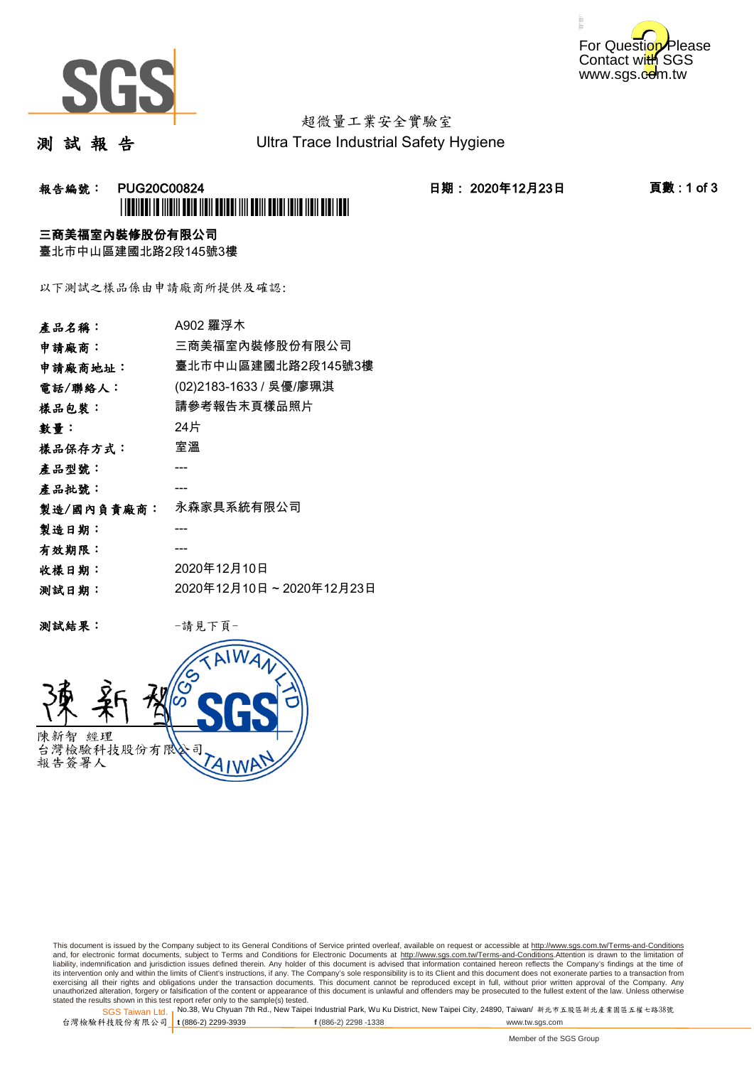



# 超微量工業安全實驗室

測 試 報 告

Ultra Trace Industrial Safety Hygiene

## **報告編號: PUG20C00824 日期: 2020年12月23日 頁數:1 of 3** \*PUG20C00824\*

### 三商美福室內裝修股份有限公司

臺北市中山區建國北路2段145號3樓

以下測試之樣品係由申請廠商所提供及確認:

| 產品名稱:      | A902 羅浮木                |
|------------|-------------------------|
| 申請廠商:      | 三商美福室內裝修股份有限公司          |
| 申請廠商地址:    | 臺北市中山區建國北路2段145號3樓      |
| 電話/聯絡人:    | (02)2183-1633 / 吳優/廖珮淇  |
| 樣品包裝:      | 請參考報告末頁樣品照片             |
| 數量:        | 24片                     |
| 樣品保存方式:    | 室溫                      |
| 產品型號:      |                         |
| 產品批號:      |                         |
| 製造/國內負責廠商: | 永森家具系統有限公司              |
| 製造日期:      |                         |
| 有效期限:      |                         |
| 收樣日期:      | 2020年12月10日             |
| 测試日期:      | 2020年12月10日~2020年12月23日 |
|            |                         |

测試結果: 一請見下頁



This document is issued by the Company subject to its General Conditions of Service printed overleaf, available on request or accessible at http://www.sgs.com.tw/Terms-and-Conditions and, for electronic format documents, subject to Terms and Conditions for Electronic Documents at <u>http://www.sgs.com.tw/Terms-and-Conditions</u>.Attention is drawn to the limitation of<br>liability, indemnification and jurisdic exercising all their rights and obligations under the transaction documents. This document cannot be reproduced except in full, without prior written approval of the Company. Any<br>unauthorized alteration, forgery or falsifi

SGS Taiwan Ltd. 1 stated the results shown in this test report refer only to the sample(s) tested.<br>Stated the results shown in this test report refer only to the sample(s) tested.

台灣檢驗科技股份有限公司

**t** (886-2) 2299-3939 **f** (886-2) 2298 -1338 www.tw.sgs.com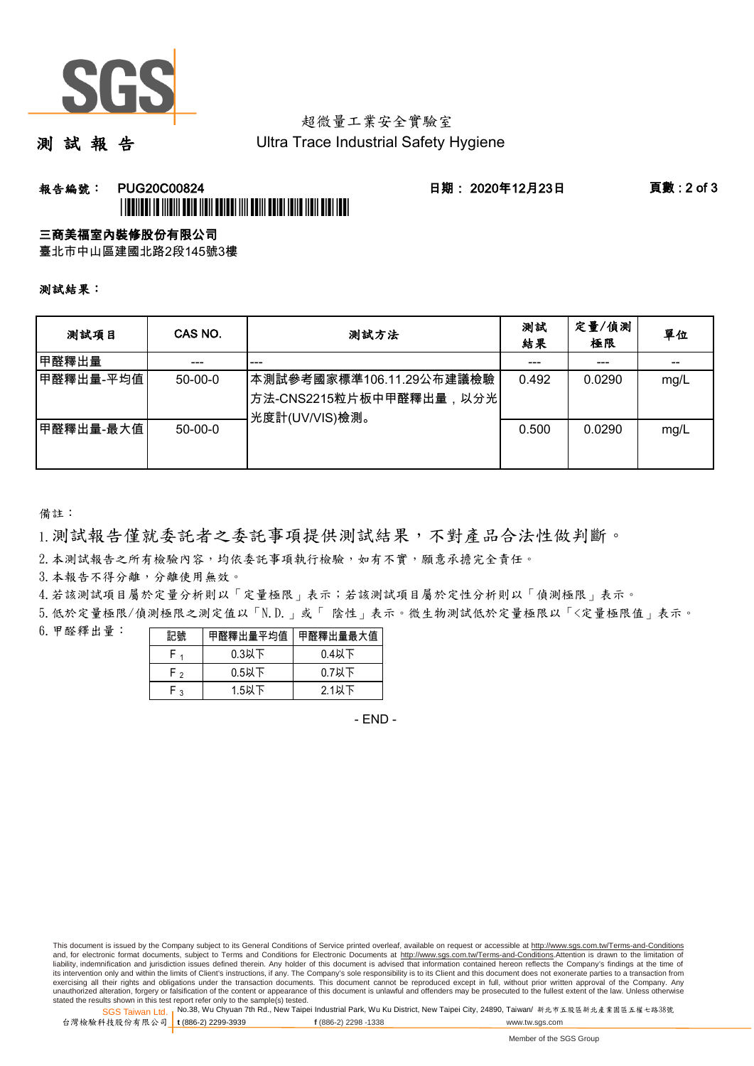

## 超微量工業安全實驗室

測 試 報 告

Ultra Trace Industrial Safety Hygiene

### 報告編號: PUG20C00824 日期: 2020年12月23日 頁數 : 2 of 3 \*PUG20C00824\*

#### 三商美福室內裝修股份有限公司

臺北市中山區建國北路2段145號3樓

測試結果:

| 测試項目      | CAS NO.   | 測試方法                                                                  | 測試<br>結果 | 定量/偵測<br>極限 | 單位   |
|-----------|-----------|-----------------------------------------------------------------------|----------|-------------|------|
| 甲醛釋出量     |           | ---                                                                   |          | ---         |      |
| 甲醛釋出量-平均值 | $50-00-0$ | 本測試參考國家標準106.11.29公布建議檢驗<br>方法-CNS2215粒片板中甲醛釋出量,以分光<br>光度計(UV/VIS)檢測。 | 0.492    | 0.0290      | mg/L |
| 甲醛釋出量-最大值 | $50-00-0$ |                                                                       | 0.500    | 0.0290      | mg/L |

備註:

1.測試報告僅就委託者之委託事項提供測試結果,不對產品合法性做判斷。

2.本測試報告之所有檢驗內容,均依委託事項執行檢驗,如有不實,願意承擔完全責任。

3. 本報告不得分離,分離使用無效。

4.若該測試項目屬於定量分析則以「定量極限」表示;若該測試項目屬於定性分析則以「偵測極限」表示。

5.低於定量極限/偵測極限之測定值以「N.D.」或「 陰性」表示。微生物測試低於定量極限以「<定量極限值」表示。

6.甲醛釋出量:

| 記號  | 甲醛釋出量平均值丨 | 甲醛釋出量最大值 |  |  |
|-----|-----------|----------|--|--|
|     | $0.3$ 以下  | $0.4$ 以下 |  |  |
| ه ۲ | $0.5$ 以下  | $0.7$ 以下 |  |  |
| م.  | 1.5以下     | 2.1以下    |  |  |

- END -

This document is issued by the Company subject to its General Conditions of Service printed overleaf, available on request or accessible at http://www.sgs.com.tw/Terms-and-Conditions and, for electronic format documents, subject to Terms and Conditions for Electronic Documents at http://www.sgs.com.tw/Terms-and-Conditions.Attention is drawn to the limitation of liability, indemnification and jurisdiction issues defined therein. Any holder of this document is advised that information contained hereon reflects the Company's findings at the time of<br>its intervention only and within t exercising all their rights and obligations under the transaction documents. This document cannot be reproduced except in full, without prior written approval of the Company. Any<br>unauthorized alteration, forgery or falsifi

SGS Taiwan Ltd. 1 stated the results shown in this test report refer only to the sample(s) tested.<br>Stated the results shown in this test report refer only to the sample(s) tested.

台灣檢驗科技股份有限公司

**t** (886-2) 2299-3939 **f** (886-2) 2298 -1338 www.tw.sgs.com